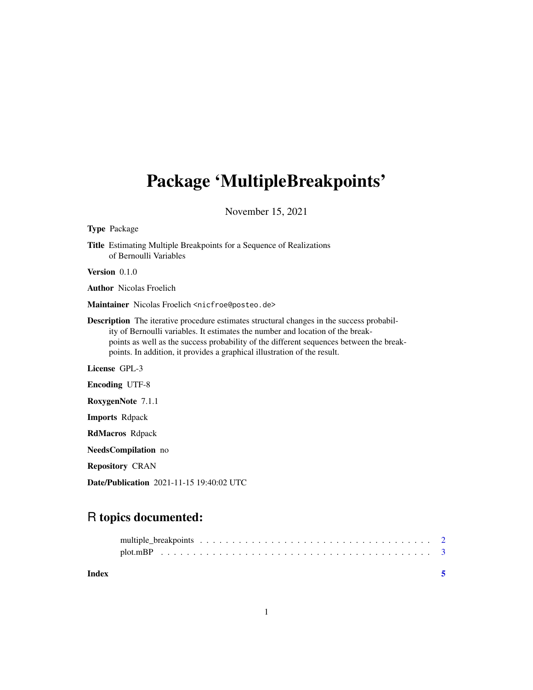# <span id="page-0-0"></span>Package 'MultipleBreakpoints'

November 15, 2021

| <b>Type</b> Package                                                                                                                                                                                                                                                                                                                                       |
|-----------------------------------------------------------------------------------------------------------------------------------------------------------------------------------------------------------------------------------------------------------------------------------------------------------------------------------------------------------|
| <b>Title</b> Estimating Multiple Breakpoints for a Sequence of Realizations<br>of Bernoulli Variables                                                                                                                                                                                                                                                     |
| <b>Version</b> $0.1.0$                                                                                                                                                                                                                                                                                                                                    |
| <b>Author</b> Nicolas Froelich                                                                                                                                                                                                                                                                                                                            |
| Maintainer Nicolas Froelich <nicfroe@posteo.de></nicfroe@posteo.de>                                                                                                                                                                                                                                                                                       |
| <b>Description</b> The iterative procedure estimates structural changes in the success probabil-<br>ity of Bernoulli variables. It estimates the number and location of the break-<br>points as well as the success probability of the different sequences between the break-<br>points. In addition, it provides a graphical illustration of the result. |
| License GPL-3                                                                                                                                                                                                                                                                                                                                             |
| <b>Encoding UTF-8</b>                                                                                                                                                                                                                                                                                                                                     |
| RoxygenNote 7.1.1                                                                                                                                                                                                                                                                                                                                         |
| <b>Imports Repack</b>                                                                                                                                                                                                                                                                                                                                     |
| <b>RdMacros</b> Rdpack                                                                                                                                                                                                                                                                                                                                    |
| NeedsCompilation no                                                                                                                                                                                                                                                                                                                                       |
| <b>Repository CRAN</b>                                                                                                                                                                                                                                                                                                                                    |

Date/Publication 2021-11-15 19:40:02 UTC

# R topics documented:

| Index |  |  |  |  |  |  |  |  |  |  |  |  |  |  |  |  |  |
|-------|--|--|--|--|--|--|--|--|--|--|--|--|--|--|--|--|--|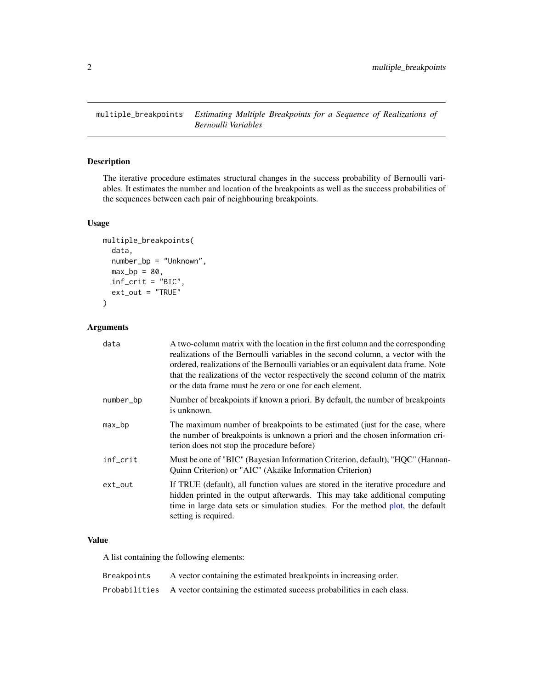<span id="page-1-1"></span><span id="page-1-0"></span>multiple\_breakpoints *Estimating Multiple Breakpoints for a Sequence of Realizations of Bernoulli Variables*

# Description

The iterative procedure estimates structural changes in the success probability of Bernoulli variables. It estimates the number and location of the breakpoints as well as the success probabilities of the sequences between each pair of neighbouring breakpoints.

#### Usage

```
multiple_breakpoints(
  data,
  number_bp = "Unknown",
 max_b = 80,
  inf_crit = "BIC",
  ext_{out} = "TRUE"
)
```
# Arguments

| A two-column matrix with the location in the first column and the corresponding<br>realizations of the Bernoulli variables in the second column, a vector with the<br>ordered, realizations of the Bernoulli variables or an equivalent data frame. Note<br>that the realizations of the vector respectively the second column of the matrix<br>or the data frame must be zero or one for each element. |
|---------------------------------------------------------------------------------------------------------------------------------------------------------------------------------------------------------------------------------------------------------------------------------------------------------------------------------------------------------------------------------------------------------|
| Number of breakpoints if known a priori. By default, the number of breakpoints<br>is unknown.                                                                                                                                                                                                                                                                                                           |
| The maximum number of breakpoints to be estimated (just for the case, where<br>the number of breakpoints is unknown a priori and the chosen information cri-<br>terion does not stop the procedure before)                                                                                                                                                                                              |
| Must be one of "BIC" (Bayesian Information Criterion, default), "HQC" (Hannan-<br>Quinn Criterion) or "AIC" (Akaike Information Criterion)                                                                                                                                                                                                                                                              |
| If TRUE (default), all function values are stored in the iterative procedure and<br>hidden printed in the output afterwards. This may take additional computing<br>time in large data sets or simulation studies. For the method plot, the default<br>setting is required.                                                                                                                              |
|                                                                                                                                                                                                                                                                                                                                                                                                         |

### Value

A list containing the following elements:

| Breakpoints | A vector containing the estimated breakpoints in increasing order.                   |
|-------------|--------------------------------------------------------------------------------------|
|             | Probabilities A vector containing the estimated success probabilities in each class. |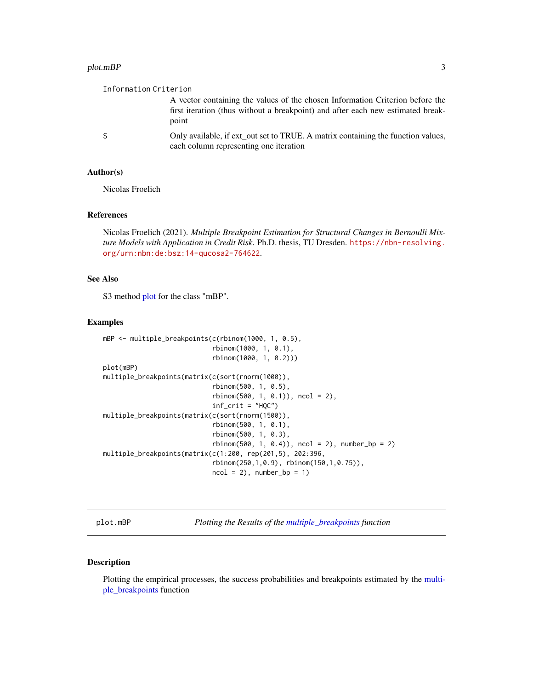#### <span id="page-2-0"></span>plot.mBP 3

| Information Criterion |                                                                                                                                                                           |
|-----------------------|---------------------------------------------------------------------------------------------------------------------------------------------------------------------------|
|                       | A vector containing the values of the chosen Information Criterion before the<br>first iteration (thus without a breakpoint) and after each new estimated break-<br>point |
| -S                    | Only available, if ext_out set to TRUE. A matrix containing the function values,<br>each column representing one iteration                                                |

# Author(s)

Nicolas Froelich

#### References

Nicolas Froelich (2021). *Multiple Breakpoint Estimation for Structural Changes in Bernoulli Mixture Models with Application in Credit Risk*. Ph.D. thesis, TU Dresden. [https://nbn-resolving.](https://nbn-resolving.org/urn:nbn:de:bsz:14-qucosa2-764622) [org/urn:nbn:de:bsz:14-qucosa2-764622](https://nbn-resolving.org/urn:nbn:de:bsz:14-qucosa2-764622).

### See Also

S3 method [plot](#page-2-1) for the class "mBP".

#### Examples

```
mBP <- multiple_breakpoints(c(rbinom(1000, 1, 0.5),
                            rbinom(1000, 1, 0.1),
                            rbinom(1000, 1, 0.2)))
plot(mBP)
multiple_breakpoints(matrix(c(sort(rnorm(1000)),
                            rbinom(500, 1, 0.5),
                            rbinom(500, 1, 0.1)), ncol = 2),
                            inf_crit = "HQC")
multiple_breakpoints(matrix(c(sort(rnorm(1500)),
                            rbinom(500, 1, 0.1),
                            rbinom(500, 1, 0.3),
                            rbinom(500, 1, 0.4), ncol = 2, number_b = 2)multiple_breakpoints(matrix(c(1:200, rep(201,5), 202:396,
                            rbinom(250,1,0.9), rbinom(150,1,0.75)),
                            ncol = 2, number_b = 1
```
<span id="page-2-1"></span>plot.mBP *Plotting the Results of the [multiple\\_breakpoints](#page-1-1) function*

#### Description

Plotting the empirical processes, the success probabilities and breakpoints estimated by the [multi](#page-1-1)[ple\\_breakpoints](#page-1-1) function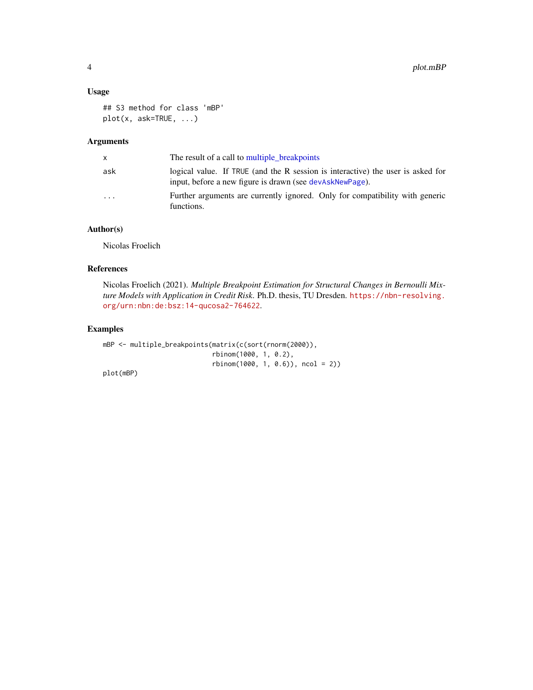#### <span id="page-3-0"></span>Usage

```
## S3 method for class 'mBP'
plot(x, ask=TRUE, ...)
```
### Arguments

| x.                      | The result of a call to multiple breakpoints                                                                                                |
|-------------------------|---------------------------------------------------------------------------------------------------------------------------------------------|
| ask                     | logical value. If TRUE (and the R session is interactive) the user is asked for<br>input, before a new figure is drawn (see devAskNewPage). |
| $\cdot$ $\cdot$ $\cdot$ | Further arguments are currently ignored. Only for compatibility with generic<br>functions.                                                  |

# Author(s)

Nicolas Froelich

### References

Nicolas Froelich (2021). *Multiple Breakpoint Estimation for Structural Changes in Bernoulli Mixture Models with Application in Credit Risk*. Ph.D. thesis, TU Dresden. [https://nbn-resolving.](https://nbn-resolving.org/urn:nbn:de:bsz:14-qucosa2-764622) [org/urn:nbn:de:bsz:14-qucosa2-764622](https://nbn-resolving.org/urn:nbn:de:bsz:14-qucosa2-764622).

#### Examples

mBP <- multiple\_breakpoints(matrix(c(sort(rnorm(2000)), rbinom(1000, 1, 0.2), rbinom(1000, 1, 0.6)), ncol = 2))

plot(mBP)